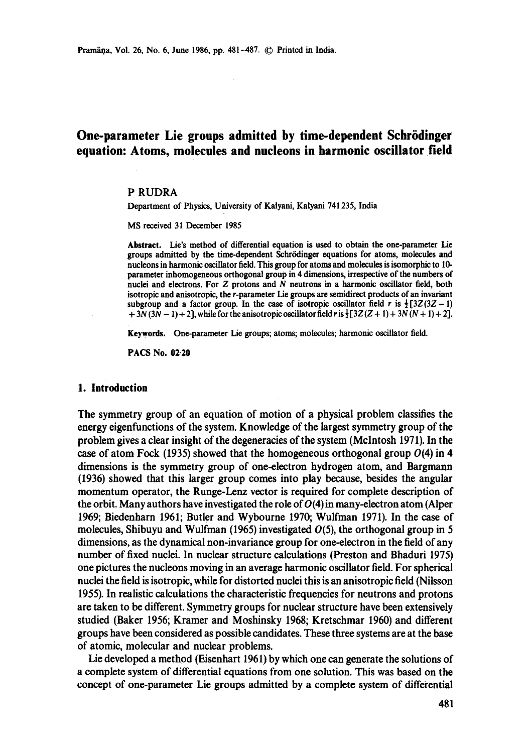# **One-parameter Lie groups admitted by time-dependent Schrödinger equation: Atoms, molecules and nucleons in harmonic oscillator field**

### P RUDRA

Department of Physics, University of Kalyani, Kalyani 741235, India

MS received 31 December 1985

Abstract. Lie's method of differential equation is used to obtain the one-parameter Lie groups admitted by the time-dependent Schrödinger equations for atoms, molecules and nucleons in harmonic oscillator field. This group for atoms and molecules is isomorphic to 10 parameter inhomogeneous orthogonal group in 4 dimensions, irrespective of the numbers of nuclei and electrons. For  $Z$  protons and  $N$  neutrons in a harmonic oscillator field, both isotropic and anisotropic, the r-parameter Lie groups are semidirect products of an invariant subgroup and a factor group. In the case of isotropic oscillator field r is  $\frac{1}{2}[3Z(3Z-1)]$  $+ 3N(3N-1) + 2$ , while for the anisotropic oscillator field r is  $\frac{1}{2}[3Z(Z+1) + 3N(N+1) + 2]$ .

**Keywords.** One-parameter Lie groups; atoms; molecules; harmonic oscillator field.

**PACS No. 02-20** 

### **1. Introduction**

The symmetry group of an equation of motion of a physical problem classifies the energy eigenfunctions of the system. Knowledge of the largest symmetry group of the problem gives a clear insight of the degeneracies of the system (McIntosh 1971). In the case of atom Fock (1935) showed that the homogeneous orthogonal group  $O(4)$  in 4 dimensions is the symmetry group of one-electron hydrogen atom, and Bargmann (1936) showed that this larger group comes into play because, besides the angular momentum operator, the Runge-Lenz vector is required for complete description of the orbit. Many authors have investigated the role of  $O(4)$  in many-electron atom (Alper 1969; Biedenharn 1961; Butler and Wybourne 1970; Wulfman 1971). In the case of molecules, Shibuyu and Wulfman (1965) investigated  $O(5)$ , the orthogonal group in 5 dimensions, as the dynamical non-invariance group for one-electron in the field of any number of fixed nuclei. In nuclear structure calculations (Preston and Bhaduri 1975) one pictures the nucleons moving in an average harmonic oscillator field. For spherical nuclei the field is isotropic, while for distorted nuclei this is an anisotropic field (Nilsson 1955). In realistic calculations the characteristic frequencies for neutrons and protons are taken to be different. Symmetry groups for nuclear structure have been extensively studied (Baker 1956; Kramer and Moshinsky 1968; Kretschmar 1960) and different groups have been considered as possible candidates. These three systems are at the base of atomic, molecular and nuclear problems.

Lie developed a method (Eisenhart 1961) by which one can generate the solutions of a complete system of differential equations from one solution. This was based on the concept of one-parameter Lie groups admitted by a complete system of differential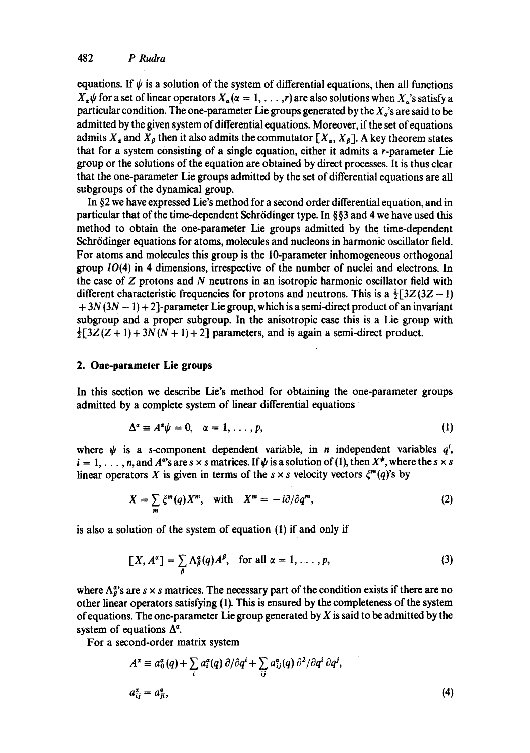equations. If  $\psi$  is a solution of the system of differential equations, then all functions  $X_{\alpha}\psi$  for a set of linear operators  $X_{\alpha}(\alpha=1,\ldots,r)$  are also solutions when  $X_{\alpha}$ 's satisfy a particular condition. The one-parameter Lie groups generated by the  $X_{\alpha}$ 's are said to be admitted by the given system of differential equations. Moreover, if the set of equations admits  $X_a$  and  $X_\beta$  then it also admits the commutator  $[X_\alpha, X_\beta]$ . A key theorem states that for a system consisting of a single equation, either it admits a r-parameter Lie group or the solutions of the equation are obtained by direct processes. It is thus clear that the one-parameter Lie groups admitted by the set of differential equations are all subgroups of the dynamical group.

In  $\S$ 2 we have expressed Lie's method for a second order differential equation, and in particular that of the time-dependent Schrödinger type. In  $\S$ §3 and 4 we have used this method to obtain the one-parameter Lie groups admitted by the time-dependent Schrödinger equations for atoms, molecules and nucleons in harmonic oscillator field. For atoms and molecules this group is the 10-parameter inhomogeneous orthogonal group  $IO(4)$  in 4 dimensions, irrespective of the number of nuclei and electrons. In the case of Z protons and N neutrons in an isotropic harmonic oscillator field with different characteristic frequencies for protons and neutrons. This is a  $\frac{1}{2}[3Z(3Z-1)]$  $+ 3N(3N - 1) + 2$ ]-parameter Lie group, which is a semi-direct product of an invariant subgroup and a proper subgroup. In the anisotropic case this is a I,ie group with  $\frac{1}{2}[3Z(Z+1)+3N(N+1)+2]$  parameters, and is again a semi-direct product.

### **2. One-parameter Lie groups**

In this section we describe Lie's method for obtaining the one-parameter groups admitted by a complete system of linear differential equations

$$
\Delta^{\alpha} \equiv A^{\alpha} \psi = 0, \quad \alpha = 1, \ldots, p,
$$
 (1)

where  $\psi$  is a s-component dependent variable, in n independent variables  $q<sup>i</sup>$ ,  $i = 1, \ldots, n$ , and  $A^{\alpha s}$  are  $s \times s$  matrices. If  $\psi$  is a solution of (1), then  $X^{\psi}$ , where the  $s \times s$ linear operators X is given in terms of the  $s \times s$  velocity vectors  $\zeta^m(q)$ 's by

$$
X = \sum_{m} \xi^{m}(q) X^{m}, \quad \text{with} \quad X^{m} = -i \partial / \partial q^{m}, \tag{2}
$$

is also a solution of the system of equation (1) if and only if

$$
[X, A^{\alpha}] = \sum_{\beta} \Lambda_{\beta}^{\alpha}(q) A^{\beta}, \text{ for all } \alpha = 1, \ldots, p,
$$
 (3)

where  $\Lambda_{\beta}^{a}$ 's are s × s matrices. The necessary part of the condition exists if there are no other linear operators satisfying (1). This is ensured by the completeness of the system of equations. The one-parameter Lie group generated by X is said to be admitted by the system of equations  $\Delta^{\alpha}$ .

For a second-order matrix system

$$
A^{\alpha} \equiv a_0^{\alpha}(q) + \sum_i a_i^{\alpha}(q) \partial/\partial q^i + \sum_{ij} a_{ij}^{\alpha}(q) \partial^2/\partial q^i \partial q^j,
$$
  
\n
$$
a_{ij}^{\alpha} = a_{ji}^{\alpha},
$$
\n(4)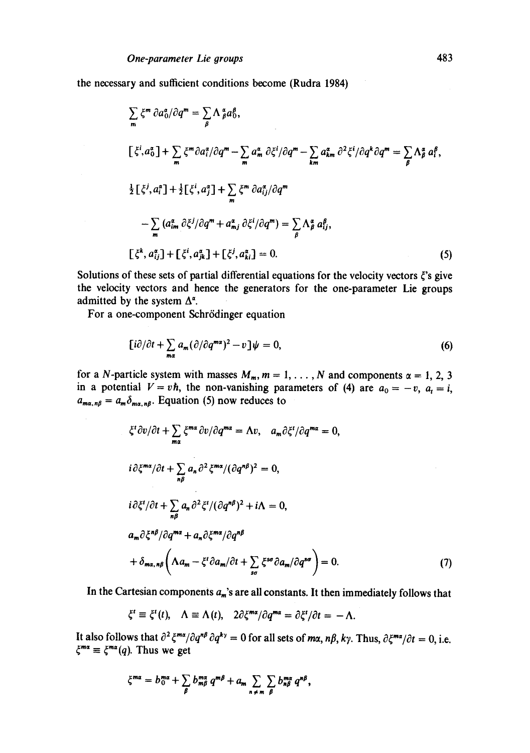the necessary and sufficient conditions become (Rudra 1984)

$$
\sum_{m} \xi^{m} \partial a_{0}^{a} / \partial q^{m} = \sum_{\beta} \Lambda_{\beta}^{\alpha} a_{0}^{\beta},
$$
  
\n
$$
[\xi^{i}, a_{0}^{\alpha}] + \sum_{m} \xi^{m} \partial a_{i}^{\alpha} / \partial q^{m} - \sum_{m} a_{m}^{\alpha} \partial \xi^{i} / \partial q^{m} - \sum_{km} a_{km}^{\alpha} \partial^{2} \xi^{i} / \partial q^{k} \partial q^{m} = \sum_{\beta} \Lambda_{\beta}^{\alpha} a_{i}^{\beta},
$$
  
\n
$$
\frac{1}{2} [\xi^{i}, a_{i}^{\alpha}] + \frac{1}{2} [\xi^{i}, a_{j}^{\alpha}] + \sum_{m} \xi^{m} \partial a_{ij}^{\alpha} / \partial q^{m}
$$
  
\n
$$
- \sum_{m} (a_{im}^{\alpha} \partial \xi^{j} / \partial q^{m} + a_{mj}^{\alpha} \partial \xi^{i} / \partial q^{m}) = \sum_{\beta} \Lambda_{\beta}^{\alpha} a_{ij}^{\beta},
$$
  
\n
$$
[\xi^{k}, a_{ij}^{\alpha}] + [\xi^{i}, a_{jk}^{\alpha}] + [\xi^{j}, a_{ki}^{\alpha}] = 0.
$$
  
\n(5)

Solutions of these sets of partial differential equations for the velocity vectors  $\zeta$ 's give the velocity vectors and hence the generators for the one-parameter Lie groups admitted by the system  $\Delta^{\alpha}$ .

For a one-component Schrödinger equation

$$
[i\partial/\partial t + \sum_{m\alpha} a_m (\partial/\partial q^{m\alpha})^2 - v] \psi = 0, \qquad (6)
$$

for a N-particle system with masses  $M_m$ ,  $m = 1, \ldots, N$  and components  $\alpha = 1, 2, 3$ in a potential  $V = v\hbar$ , the non-vanishing parameters of (4) are  $a_0 = -v$ ,  $a_t = i$ ,  $a_{\mu\alpha,n\beta} = a_m \delta_{\mu\alpha,n\beta}$ . Equation (5) now reduces to

$$
\xi^{t} \partial v/\partial t + \sum_{ma} \xi^{ma} \partial v/\partial q^{ma} = \Lambda v, \quad a_{m} \partial \xi^{t}/\partial q^{ma} = 0,
$$
  
\n
$$
i \partial \xi^{ma}/\partial t + \sum_{n\beta} a_{n} \partial^{2} \xi^{ma}/(\partial q^{n\beta})^{2} = 0,
$$
  
\n
$$
i \partial \xi^{t}/\partial t + \sum_{n\beta} a_{n} \partial^{2} \xi^{t}/(\partial q^{n\beta})^{2} + i\Lambda = 0,
$$
  
\n
$$
a_{m} \partial \xi^{n\beta}/\partial q^{ma} + a_{n} \partial \xi^{ma}/\partial q^{n\beta}
$$
  
\n
$$
+ \delta_{ma,n\beta} \left( \Lambda a_{m} - \xi^{t} \partial a_{m}/\partial t + \sum_{so} \xi^{so} \partial a_{m}/\partial q^{so} \right) = 0.
$$
 (7)

In the Cartesian components  $a_m$ 's are all constants. It then immediately follows that

$$
\xi^{t} \equiv \xi^{t}(t), \quad \Lambda \equiv \Lambda(t), \quad 2\partial \xi^{m\alpha}/\partial q^{m\alpha} = \partial \xi^{t}/\partial t = -\Lambda.
$$

It also follows that  $\partial^2 \xi^{m\alpha}/\partial q^{n\beta} \partial q^{k\gamma} = 0$  for all sets of  $m\alpha$ ,  $n\beta$ ,  $k\gamma$ . Thus,  $\partial \xi^{m\alpha}/\partial t = 0$ , i.e.  $\zeta^{ma} \equiv \zeta^{ma}(q)$ . Thus we get

$$
\xi^{m\alpha} = b_0^{m\alpha} + \sum_{\beta} b_{m\beta}^{m\alpha} q^{m\beta} + a_m \sum_{n \neq m} \sum_{\beta} b_{n\beta}^{m\alpha} q^{n\beta},
$$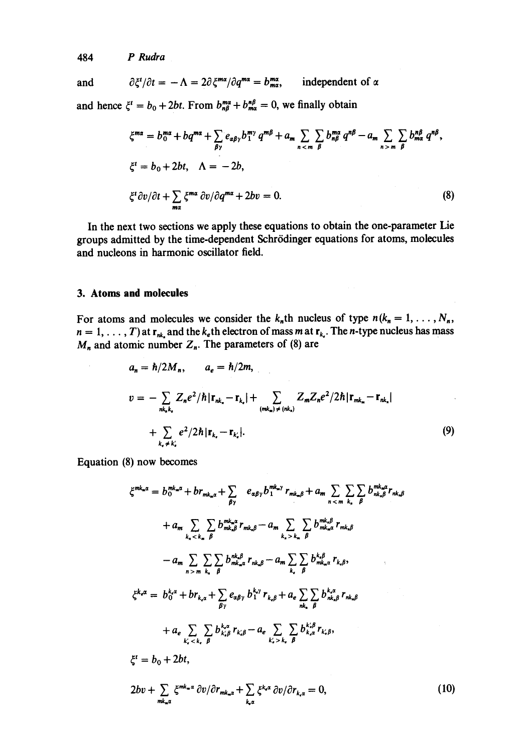484 *P Rudra* 

and  $\partial \zeta^{t}/\partial t = -\Lambda = 2\partial \zeta^{ma}/\partial q^{ma} = b^{ma}_{ma}$ , independent of  $\alpha$ 

and hence  $\xi^i = b_0 + 2bt$ . From  $b_{n\beta}^{ma} + b_{n\beta}^{n\beta} = 0$ , we finally obtain

$$
\zeta^{ma} = b_0^{ma} + bq^{ma} + \sum_{\beta\gamma} e_{\alpha\beta\gamma} b_1^{m\gamma} q^{m\beta} + a_m \sum_{n \le m} \sum_{\beta} b_{n\beta}^{ma} q^{n\beta} - a_m \sum_{n > m} \sum_{\beta} b_{n\alpha}^{n\beta} q^{n\beta},
$$
  

$$
\zeta^t = b_0 + 2bt, \quad \Lambda = -2b,
$$
  

$$
\zeta^t \partial v/\partial t + \sum_{ma} \zeta^{ma} \partial v/\partial q^{ma} + 2bv = 0.
$$
 (8)

In the next two sections we apply these equations to obtain the one-parameter Lie groups admitted by the time-dependent Schrödinger equations for atoms, molecules and nucleons in harmonic oscillator field.

## **3. Atoms and molecules**

 $\bar{z}$ 

For atoms and molecules we consider the  $k_n$ th nucleus of type  $n(k_n = 1, \ldots, N_n)$ ,  $n = 1, \ldots, T$  at  $r_{nk}$  and the  $k_e$ th electron of mass m at  $r_{k}$ . The n-type nucleus has mass  $M_n$  and atomic number  $Z_n$ . The parameters of (8) are

$$
a_{n} = \hbar/2M_{n}, \qquad a_{e} = \hbar/2m,
$$
  
\n
$$
v = - \sum_{nk_{h}k_{h}} Z_{n}e^{2}/\hbar |\mathbf{r}_{nk_{h}} - \mathbf{r}_{k_{h}}| + \sum_{(mk_{m}) \neq (nk_{h})} Z_{m}Z_{n}e^{2}/2\hbar |\mathbf{r}_{mk_{m}} - \mathbf{r}_{nk_{h}}|
$$
  
\n
$$
+ \sum_{k_{h} \neq k'_{h}} e^{2}/2\hbar |\mathbf{r}_{k_{h}} - \mathbf{r}_{k'_{h}}|.
$$
  
\n(9)

Equation (8) now becomes

$$
\xi^{mk_{m}\alpha} = b_{0}^{mk_{m}\alpha} + br_{mk_{m}\alpha} + \sum_{\beta\gamma} e_{\alpha\beta\gamma} b_{1}^{mk_{m}\gamma} r_{mk_{m}\beta} + a_{m} \sum_{n < m} \sum_{k_{n}} \sum_{\beta} b_{mk_{n}\beta}^{mk_{n}\alpha} r_{nk_{n}\beta}
$$
\n
$$
+ a_{m} \sum_{k_{n} < k_{m}} \sum_{\beta} b_{mk_{n}\beta}^{mk_{n}\alpha} r_{mk_{n}\beta} - a_{m} \sum_{k_{n} > k_{m}} \sum_{\beta} b_{mk_{m}\alpha}^{mk_{n}\beta} r_{mk_{n}\beta}
$$
\n
$$
- a_{m} \sum_{n > m} \sum_{k_{n}} \sum_{\beta} b_{mk_{n}\alpha}^{mk_{n}\beta} r_{nk_{n}\beta} - a_{m} \sum_{k_{n}} \sum_{\beta} b_{mk_{n}\alpha}^{k_{n}\beta} r_{k_{n}\beta},
$$
\n
$$
\xi^{k_{n}\alpha} = b_{0}^{k_{n}\alpha} + br_{k_{n}\alpha} + \sum_{\beta\gamma} e_{\alpha\beta\gamma} b_{1}^{k_{n}\gamma} r_{k_{n}\beta} + a_{e} \sum_{mk_{n}} \sum_{\beta} b_{nk_{n}\beta}^{k_{n}\alpha} r_{nk_{n}\beta}
$$
\n
$$
+ a_{e} \sum_{k_{n} < k_{n}} \sum_{\beta} b_{k_{n}\beta}^{k_{n}\alpha} r_{k_{n}\beta} - a_{e} \sum_{k_{n} > k_{n}} \sum_{\beta} b_{k_{n}\alpha}^{k_{n}\beta} r_{k_{n}\beta},
$$
\n
$$
\xi^{i} = b_{0} + 2bt,
$$
\n
$$
2bv + \sum_{n} \xi^{mk_{n}\alpha} \frac{\partial v}{\partial r_{mk_{n}\alpha}} + \sum_{n} \xi^{k_{n}\alpha} \frac{\partial v}{\partial r_{k_{n}\alpha}} = 0,
$$

*(lo)* 

*rak.a k.a*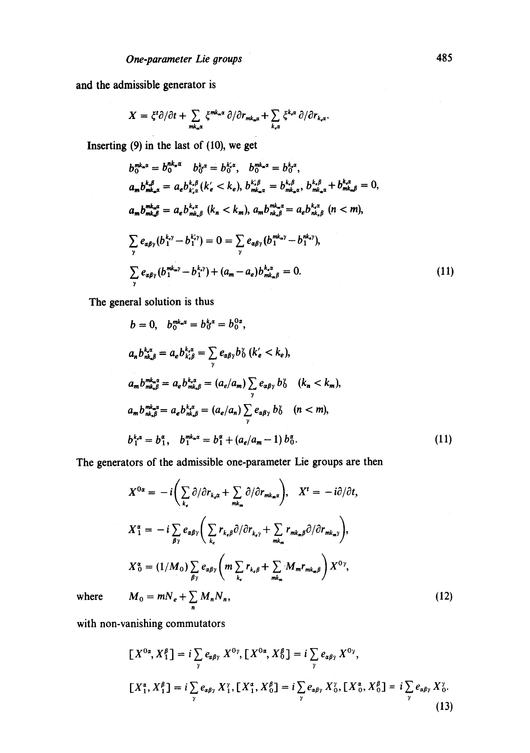and the admissible generator is

$$
X = \xi^t \partial/\partial t + \sum_{m k_m \alpha} \xi^{m k_m \alpha} \partial/\partial r_{m k_m \alpha} + \sum_{k_\epsilon \alpha} \xi^{k_\epsilon \alpha} \partial/\partial r_{k_\epsilon \alpha}.
$$

Inserting (9) in the last of (10), we get

$$
b_0^{mk_{\alpha}a} = b_0^{nk_{\alpha}a} \t b_0^{k_{\alpha}a} = b_0^{k_{\alpha}a}, \t b_0^{mk_{\alpha}a} = b_0^{k_{\alpha}a},
$$
  
\n
$$
a_m b_{mk_{\alpha}a}^{k_{\alpha}a} = a_e b_{k,a}^{k,\beta} (k_e' < k_e), b_{mk_{\alpha}a}^{k,\beta} = b_{mk_{\alpha}a}^{k,\beta}, b_{mk_{\alpha}a}^{k,\beta} + b_{mk_{\alpha}a}^{k,\alpha} = 0,
$$
  
\n
$$
a_m b_{mk,\beta}^{mk_{\alpha}a} = a_e b_{mk,\beta}^{k,\alpha} (k_n < k_m), a_m b_{mk_{\alpha}a}^{mk_{\alpha}a} = a_e b_{mk,\beta}^{k,\alpha} (n < m),
$$
  
\n
$$
\sum_{\gamma} e_{\alpha\beta\gamma} (b_1^{k_{\gamma}} - b_1^{k_{\gamma}}) = 0 = \sum_{\gamma} e_{\alpha\beta\gamma} (b_1^{mk_{\alpha}\gamma} - b_1^{nk_{\gamma}}),
$$
  
\n
$$
\sum_{\gamma} e_{\alpha\beta\gamma} (b_1^{mk_{\alpha}\gamma} - b_1^{k_{\gamma}}) + (a_m - a_e) b_{mk_{\alpha}a}^{k_{\alpha}a} = 0.
$$
  
\n(11)

The general solution is thus

$$
b = 0, \quad b_0^{mk_m \alpha} = b_0^{k_\alpha} = b_0^{0\alpha},
$$
\n
$$
a_n b_{nk_n \beta}^{k_n \alpha} = a_e b_{k_i \beta}^{k_i \alpha} = \sum_{\gamma} e_{\alpha \beta \gamma} b_0^{\gamma} (k_e' < k_e),
$$
\n
$$
a_m b_{mk_n \beta}^{mk_m \alpha} = a_e b_{mk_n \beta}^{k_i \alpha} = (a_e/a_m) \sum_{\gamma} e_{\alpha \beta \gamma} b_0^{\gamma} (k_n < k_m),
$$
\n
$$
a_m b_{mk_n \beta}^{mk_n \alpha} = a_e b_{nk_n \beta}^{k_i \alpha} = (a_e/a_n) \sum_{\gamma} e_{\alpha \beta \gamma} b_0^{\gamma} (n < m),
$$
\n
$$
b_1^{k_i \alpha} = b_1^{\alpha}, \quad b_1^{mk_m \alpha} = b_1^{\alpha} + (a_e/a_m - 1) b_0^{\alpha}.
$$
\n
$$
(11)
$$

The generators of the admissible one-parameter Lie groups are then

$$
X^{0\alpha} = -i\left(\sum_{k_e} \partial/\partial r_{k_e\alpha} + \sum_{mk_m} \partial/\partial r_{mk_m\alpha}\right), \quad X^t = -i\partial/\partial t,
$$
  

$$
X_1^{\alpha} = -i\sum_{\beta\gamma} e_{\alpha\beta\gamma} \left(\sum_{k_e} r_{k_e\beta} \partial/\partial r_{k_e\gamma} + \sum_{mk_m} r_{mk_m\beta} \partial/\partial r_{mk_m\gamma}\right),
$$
  

$$
X_0^{\alpha} = (1/M_0) \sum_{\beta\gamma} e_{\alpha\beta\gamma} \left(m \sum_{k_e} r_{k_e\beta} + \sum_{mk_m} M_m r_{mk_m\beta}\right) X^{0\gamma},
$$
  
where 
$$
M_0 = mN_e + \sum_n M_n N_n,
$$
 (12)

with non-vanishing commutators

$$
[X^{0\alpha}, X_1^{\beta}] = i \sum_{\gamma} e_{\alpha\beta\gamma} X^{0\gamma}, [X^{0\alpha}, X_0^{\beta}] = i \sum_{\gamma} e_{\alpha\beta\gamma} X^{0\gamma},
$$
  

$$
[X_1^{\alpha}, X_1^{\beta}] = i \sum_{\gamma} e_{\alpha\beta\gamma} X_1^{\gamma}, [X_1^{\alpha}, X_0^{\beta}] = i \sum_{\gamma} e_{\alpha\beta\gamma} X_0^{\gamma}, [X_0^{\alpha}, X_0^{\beta}] = i \sum_{\gamma} e_{\alpha\beta\gamma} X_0^{\gamma}.
$$
  
(13)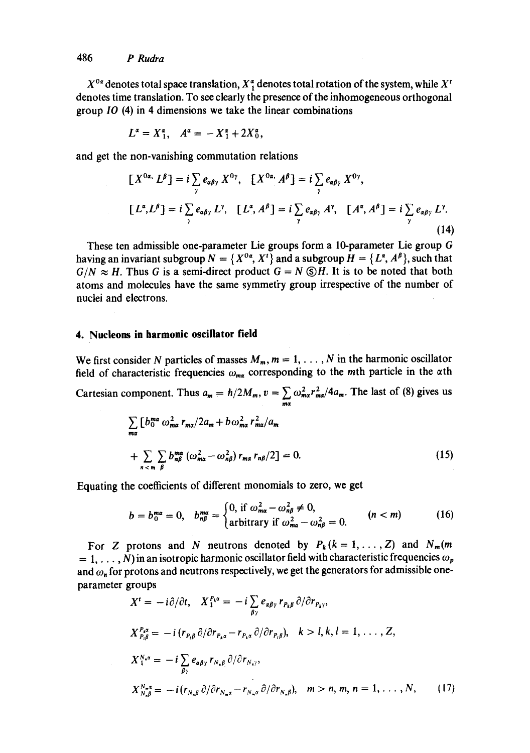486 *P Rudra* 

 $X^{0\alpha}$  denotes total space translation,  $X^{\alpha}$  denotes total rotation of the system, while  $X^t$ **denotes time translation. To see clearly the presence of the inhomogeneous orthogonal group** *I0* **(4) in 4 dimensions we take the linear combinations** 

$$
L^{\alpha}=X_{1}^{\alpha}, \quad A^{\alpha}=-X_{1}^{\alpha}+2X_{0}^{\alpha},
$$

and get the non-vanishing commutation relations

$$
[X^{0\alpha}, L^{\beta}] = i \sum_{\gamma} e_{\alpha\beta\gamma} X^{0\gamma}, \quad [X^{0\alpha} \cdot A^{\beta}] = i \sum_{\gamma} e_{\alpha\beta\gamma} X^{0\gamma},
$$
  

$$
[L^{\alpha}, L^{\beta}] = i \sum_{\gamma} e_{\alpha\beta\gamma} L^{\gamma}, \quad [L^{\alpha}, A^{\beta}] = i \sum_{\gamma} e_{\alpha\beta\gamma} A^{\gamma}, \quad [A^{\alpha}, A^{\beta}] = i \sum_{\gamma} e_{\alpha\beta\gamma} L^{\gamma}.
$$
  
(14)

These ten admissible one-parameter Lie groups form a 10-parameter Lie group G having an invariant subgroup  $N = \{X^{0\alpha}, X^i\}$  and a subgroup  $H = \{L^{\alpha}, A^{\beta}\}$ , such that  $G/N \approx H$ . Thus G is a semi-direct product  $G = N \text{ } \textcircled{s}H$ . It is to be noted that both atoms and molecules have the same symmetry group irrespective of the number of nuclei and electrons.

## **4. Nucleons in harmonic oscillator field**

We first consider N particles of masses  $M_m$ ,  $m = 1, \ldots, N$  in the harmonic oscillator field of characteristic frequencies  $\omega_{ma}$  corresponding to the *m*th particle in the  $\alpha$ th Cartesian component. Thus  $a_m = h/2M_m$ ,  $v = \sum_{m\alpha} \omega_{m\alpha}^2 r_{m\alpha}^2/4a_m$ . The last of (8) gives us

$$
\sum_{m\alpha} \left[ b_0^{m\alpha} \omega_{m\alpha}^2 r_{m\alpha} / 2a_m + b \omega_{m\alpha}^2 r_{m\alpha}^2 / a_m \right]
$$
  
+ 
$$
\sum_{n \le m} \sum_{\beta} b_{n\beta}^{m\alpha} \left( \omega_{m\alpha}^2 - \omega_{n\beta}^2 \right) r_{m\alpha} r_{n\beta} / 2 = 0.
$$
 (15)

Equating the coefficients of different monomials to zero, we get

$$
b = b_0^{ma} = 0, \quad b_{n\beta}^{ma} = \begin{cases} 0, & \text{if } \omega_{ma}^2 - \omega_{n\beta}^2 \neq 0, \\ \text{arbitrary if } \omega_{ma}^2 - \omega_{n\beta}^2 = 0. \end{cases} \quad (n < m) \tag{16}
$$

For Z protons and N neutrons denoted by  $P_k(k = 1, ..., Z)$  and  $N_m(m)$  $= 1, \ldots, N$  in an isotropic harmonic oscillator field with characteristic frequencies  $\omega_p$ and  $\omega_n$  for protons and neutrons respectively, we get the generators for admissible oneparameter groups

$$
X^{t} = -i\partial/\partial t, \quad X_{1}^{P_{\alpha}} = -i\sum_{\beta\gamma} e_{\alpha\beta\gamma} r_{P_{\alpha}\beta} \partial/\partial r_{P_{\alpha}\gamma},
$$
  
\n
$$
X_{P_{\alpha}\beta}^{P_{\alpha}} = -i(r_{P_{\alpha}\beta} \partial/\partial r_{P_{\alpha}\alpha} - r_{P_{\alpha}\alpha} \partial/\partial r_{P_{\beta}\beta}), \quad k > l, k, l = 1, ..., Z,
$$
  
\n
$$
X_{1}^{N_{\alpha}\alpha} = -i\sum_{\beta\gamma} e_{\alpha\beta\gamma} r_{N_{\alpha}\beta} \partial/\partial r_{N_{\alpha}\gamma},
$$
  
\n
$$
X_{N_{\alpha}\beta}^{N_{\alpha}\alpha} = -i(r_{N_{\alpha}\beta} \partial/\partial r_{N_{\alpha}\alpha} - r_{N_{\alpha}\alpha} \partial/\partial r_{N_{\alpha}\beta}), \quad m > n, m, n = 1, ..., N,
$$
 (17)